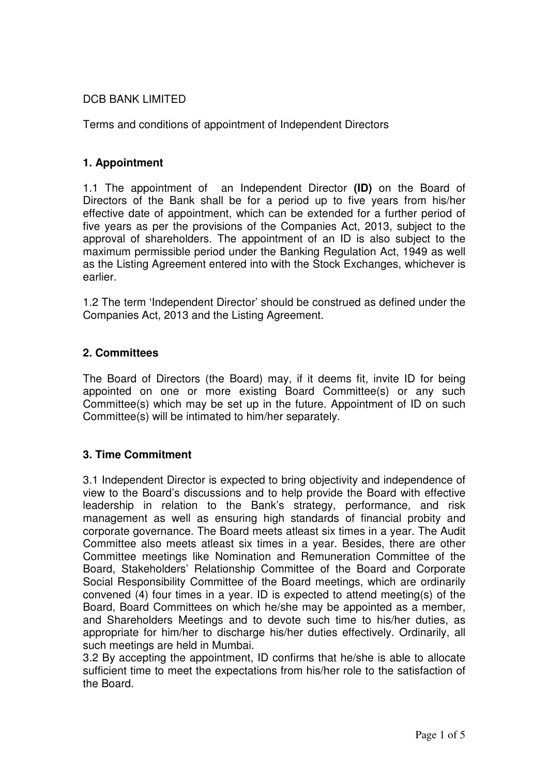# DCB BANK LIMITED

Terms and conditions of appointment of Independent Directors

### **1. Appointment**

1.1 The appointment of an Independent Director **(ID)** on the Board of Directors of the Bank shall be for a period up to five years from his/her effective date of appointment, which can be extended for a further period of five years as per the provisions of the Companies Act, 2013, subject to the approval of shareholders. The appointment of an ID is also subject to the maximum permissible period under the Banking Regulation Act, 1949 as well as the Listing Agreement entered into with the Stock Exchanges, whichever is earlier.

1.2 The term 'Independent Director' should be construed as defined under the Companies Act, 2013 and the Listing Agreement.

### **2. Committees**

The Board of Directors (the Board) may, if it deems fit, invite ID for being appointed on one or more existing Board Committee(s) or any such Committee(s) which may be set up in the future. Appointment of ID on such Committee(s) will be intimated to him/her separately.

# **3. Time Commitment**

3.1 Independent Director is expected to bring objectivity and independence of view to the Board's discussions and to help provide the Board with effective leadership in relation to the Bank's strategy, performance, and risk management as well as ensuring high standards of financial probity and corporate governance. The Board meets atleast six times in a year. The Audit Committee also meets atleast six times in a year. Besides, there are other Committee meetings like Nomination and Remuneration Committee of the Board, Stakeholders' Relationship Committee of the Board and Corporate Social Responsibility Committee of the Board meetings, which are ordinarily convened (4) four times in a year. ID is expected to attend meeting(s) of the Board, Board Committees on which he/she may be appointed as a member, and Shareholders Meetings and to devote such time to his/her duties, as appropriate for him/her to discharge his/her duties effectively. Ordinarily, all such meetings are held in Mumbai.

3.2 By accepting the appointment, ID confirms that he/she is able to allocate sufficient time to meet the expectations from his/her role to the satisfaction of the Board.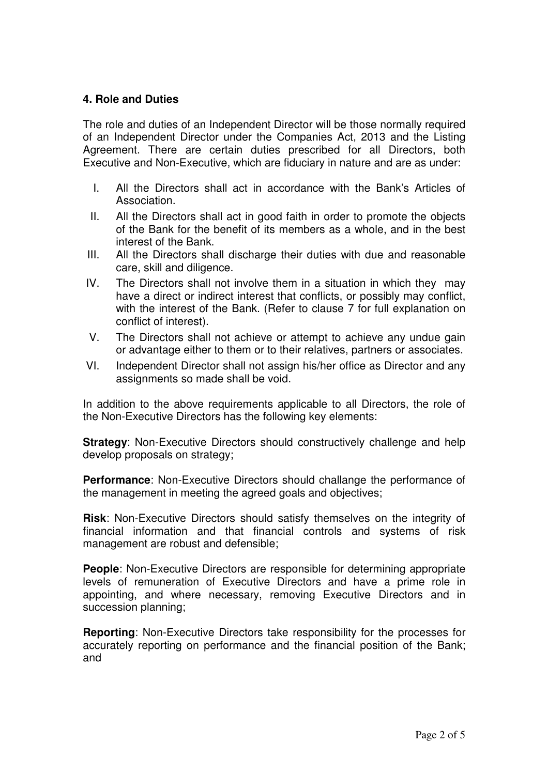### **4. Role and Duties**

The role and duties of an Independent Director will be those normally required of an Independent Director under the Companies Act, 2013 and the Listing Agreement. There are certain duties prescribed for all Directors, both Executive and Non-Executive, which are fiduciary in nature and are as under:

- I. All the Directors shall act in accordance with the Bank's Articles of Association.
- II. All the Directors shall act in good faith in order to promote the objects of the Bank for the benefit of its members as a whole, and in the best interest of the Bank.
- III. All the Directors shall discharge their duties with due and reasonable care, skill and diligence.
- IV. The Directors shall not involve them in a situation in which they may have a direct or indirect interest that conflicts, or possibly may conflict, with the interest of the Bank. (Refer to clause 7 for full explanation on conflict of interest).
- V. The Directors shall not achieve or attempt to achieve any undue gain or advantage either to them or to their relatives, partners or associates.
- VI. Independent Director shall not assign his/her office as Director and any assignments so made shall be void.

In addition to the above requirements applicable to all Directors, the role of the Non-Executive Directors has the following key elements:

**Strategy:** Non-Executive Directors should constructively challenge and help develop proposals on strategy;

**Performance**: Non-Executive Directors should challange the performance of the management in meeting the agreed goals and objectives;

**Risk**: Non-Executive Directors should satisfy themselves on the integrity of financial information and that financial controls and systems of risk management are robust and defensible;

**People:** Non-Executive Directors are responsible for determining appropriate levels of remuneration of Executive Directors and have a prime role in appointing, and where necessary, removing Executive Directors and in succession planning;

**Reporting**: Non-Executive Directors take responsibility for the processes for accurately reporting on performance and the financial position of the Bank; and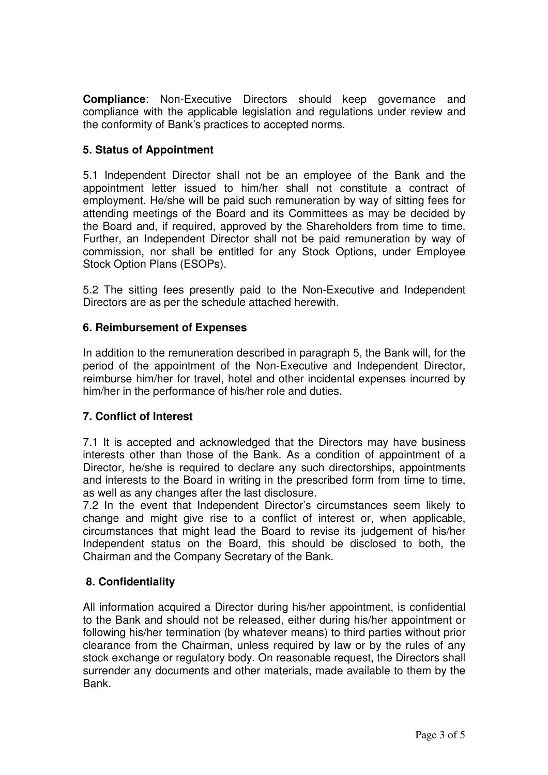**Compliance**: Non-Executive Directors should keep governance and compliance with the applicable legislation and regulations under review and the conformity of Bank's practices to accepted norms.

# **5. Status of Appointment**

5.1 Independent Director shall not be an employee of the Bank and the appointment letter issued to him/her shall not constitute a contract of employment. He/she will be paid such remuneration by way of sitting fees for attending meetings of the Board and its Committees as may be decided by the Board and, if required, approved by the Shareholders from time to time. Further, an Independent Director shall not be paid remuneration by way of commission, nor shall be entitled for any Stock Options, under Employee Stock Option Plans (ESOPs).

5.2 The sitting fees presently paid to the Non-Executive and Independent Directors are as per the schedule attached herewith.

### **6. Reimbursement of Expenses**

In addition to the remuneration described in paragraph 5, the Bank will, for the period of the appointment of the Non-Executive and Independent Director, reimburse him/her for travel, hotel and other incidental expenses incurred by him/her in the performance of his/her role and duties.

# **7. Conflict of Interest**

7.1 It is accepted and acknowledged that the Directors may have business interests other than those of the Bank. As a condition of appointment of a Director, he/she is required to declare any such directorships, appointments and interests to the Board in writing in the prescribed form from time to time, as well as any changes after the last disclosure.

7.2 In the event that Independent Director's circumstances seem likely to change and might give rise to a conflict of interest or, when applicable, circumstances that might lead the Board to revise its judgement of his/her Independent status on the Board, this should be disclosed to both, the Chairman and the Company Secretary of the Bank.

# **8. Confidentiality**

All information acquired a Director during his/her appointment, is confidential to the Bank and should not be released, either during his/her appointment or following his/her termination (by whatever means) to third parties without prior clearance from the Chairman, unless required by law or by the rules of any stock exchange or regulatory body. On reasonable request, the Directors shall surrender any documents and other materials, made available to them by the Bank.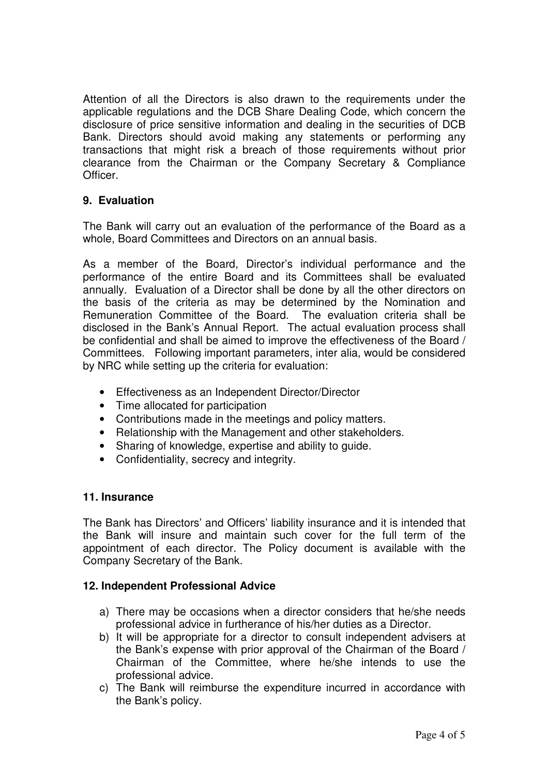Attention of all the Directors is also drawn to the requirements under the applicable regulations and the DCB Share Dealing Code, which concern the disclosure of price sensitive information and dealing in the securities of DCB Bank. Directors should avoid making any statements or performing any transactions that might risk a breach of those requirements without prior clearance from the Chairman or the Company Secretary & Compliance Officer.

# **9. Evaluation**

The Bank will carry out an evaluation of the performance of the Board as a whole, Board Committees and Directors on an annual basis.

As a member of the Board, Director's individual performance and the performance of the entire Board and its Committees shall be evaluated annually. Evaluation of a Director shall be done by all the other directors on the basis of the criteria as may be determined by the Nomination and Remuneration Committee of the Board. The evaluation criteria shall be disclosed in the Bank's Annual Report. The actual evaluation process shall be confidential and shall be aimed to improve the effectiveness of the Board / Committees. Following important parameters, inter alia, would be considered by NRC while setting up the criteria for evaluation:

- Effectiveness as an Independent Director/Director
- Time allocated for participation
- Contributions made in the meetings and policy matters.
- Relationship with the Management and other stakeholders.
- Sharing of knowledge, expertise and ability to guide.
- Confidentiality, secrecy and integrity.

#### **11. Insurance**

The Bank has Directors' and Officers' liability insurance and it is intended that the Bank will insure and maintain such cover for the full term of the appointment of each director. The Policy document is available with the Company Secretary of the Bank.

#### **12. Independent Professional Advice**

- a) There may be occasions when a director considers that he/she needs professional advice in furtherance of his/her duties as a Director.
- b) It will be appropriate for a director to consult independent advisers at the Bank's expense with prior approval of the Chairman of the Board / Chairman of the Committee, where he/she intends to use the professional advice.
- c) The Bank will reimburse the expenditure incurred in accordance with the Bank's policy.